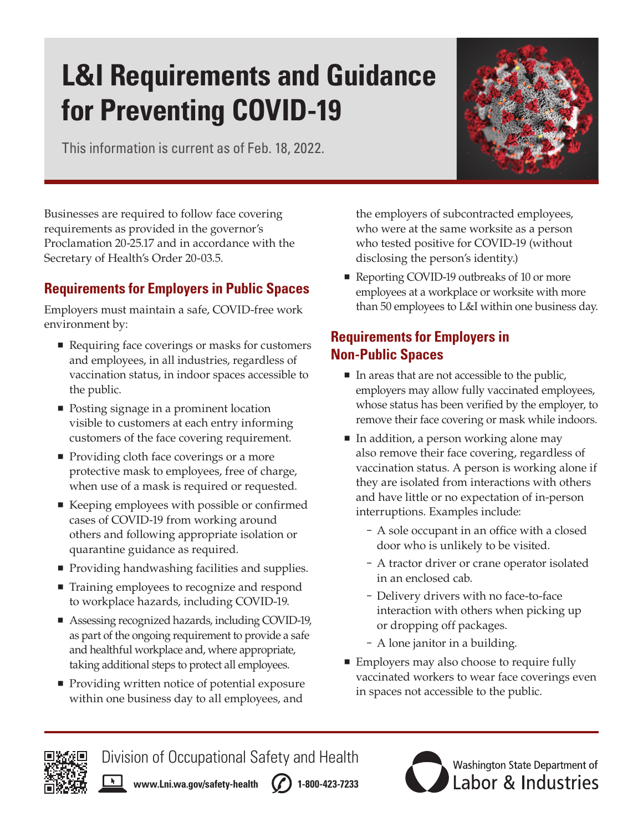# **L&I Requirements and Guidance for Preventing COVID-19**

This information is current as of Feb. 18, 2022.



Businesses are required to follow face covering requirements as provided in the governor's Proclamation 20-25.17 and in accordance with the Secretary of Health's Order 20-03.5.

## **Requirements for Employers in Public Spaces**

Employers must maintain a safe, COVID-free work environment by:

- Requiring face coverings or masks for customers and employees, in all industries, regardless of vaccination status, in indoor spaces accessible to the public.
- Posting signage in a prominent location visible to customers at each entry informing customers of the face covering requirement.
- **Providing cloth face coverings or a more** protective mask to employees, free of charge, when use of a mask is required or requested.
- Keeping employees with possible or confirmed cases of COVID-19 from working around others and following appropriate isolation or quarantine guidance as required.
- **Providing handwashing facilities and supplies.**
- Training employees to recognize and respond to workplace hazards, including COVID-19.
- Assessing recognized hazards, including COVID-19, as part of the ongoing requirement to provide a safe and healthful workplace and, where appropriate, taking additional steps to protect all employees.
- Providing written notice of potential exposure within one business day to all employees, and

the employers of subcontracted employees, who were at the same worksite as a person who tested positive for COVID-19 (without disclosing the person's identity.)

Reporting COVID-19 outbreaks of 10 or more employees at a workplace or worksite with more than 50 employees to L&I within one business day.

# **Requirements for Employers in Non-Public Spaces**

- In areas that are not accessible to the public, employers may allow fully vaccinated employees, whose status has been verified by the employer, to remove their face covering or mask while indoors.
- In addition, a person working alone may also remove their face covering, regardless of vaccination status. A person is working alone if they are isolated from interactions with others and have little or no expectation of in-person interruptions. Examples include:
	- A sole occupant in an office with a closed door who is unlikely to be visited.
	- A tractor driver or crane operator isolated in an enclosed cab.
	- Delivery drivers with no face-to-face interaction with others when picking up or dropping off packages.
	- A lone janitor in a building.
- Employers may also choose to require fully vaccinated workers to wear face coverings even in spaces not accessible to the public.



 $\begin{array}{|c|c|c|}\n\hline\n\hline\n\end{array}$ 

Division of Occupational Safety and Health

**[www.Lni.wa.gov/safety-health](http://www.Lni.wa.gov/safety-health)** (*f*) 1-800-423-7233